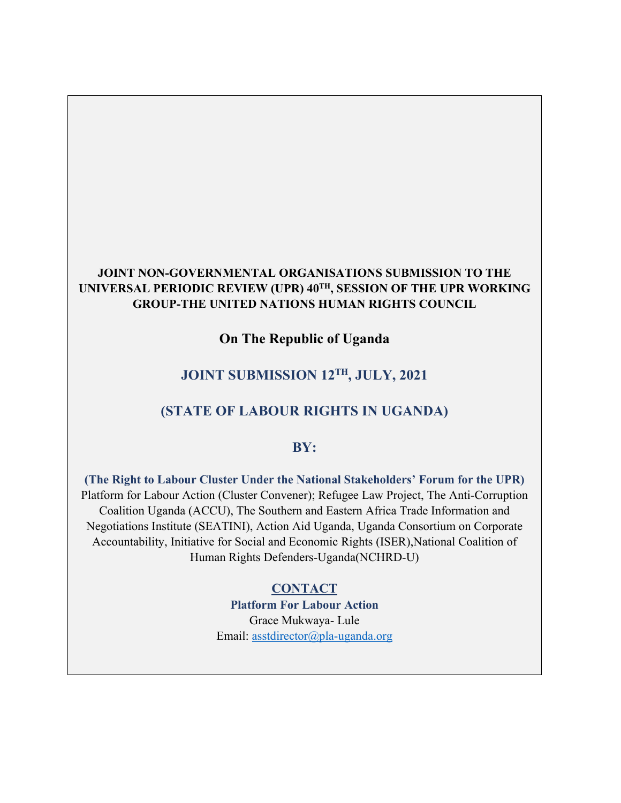#### **JOINT NON-GOVERNMENTAL ORGANISATIONS SUBMISSION TO THE UNIVERSAL PERIODIC REVIEW (UPR) 40TH , SESSION OF THE UPR WORKING GROUP-THE UNITED NATIONS HUMAN RIGHTS COUNCIL**

**On The Republic of Uganda**

## **JOINT SUBMISSION 12TH , JULY, 2021**

#### **(STATE OF LABOUR RIGHTS IN UGANDA)**

#### **BY:**

**(The Right to Labour Cluster Under the National Stakeholders' Forum for the UPR)** Platform for Labour Action (Cluster Convener); Refugee Law Project, The Anti-Corruption Coalition Uganda (ACCU), The Southern and Eastern Africa Trade Information and Negotiations Institute (SEATINI), Action Aid Uganda, Uganda Consortium on Corporate Accountability, Initiative for Social and Economic Rights (ISER),National Coalition of Human Rights Defenders-Uganda(NCHRD-U)

> **CONTACT Platform For Labour Action** Grace Mukwaya- Lule Email: [asstdirector@pla-uganda.org](mailto:asstdirector@pla-uganda.org)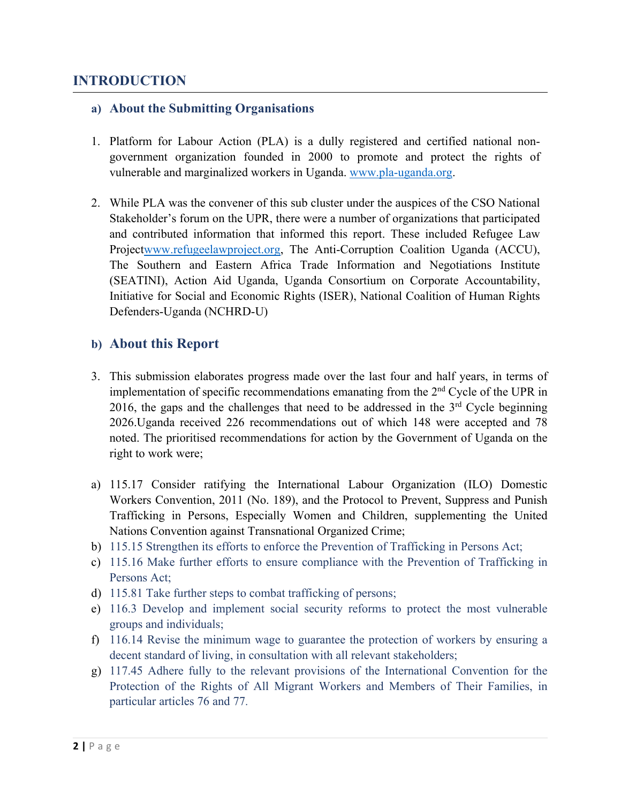## **INTRODUCTION**

#### **a) About the Submitting Organisations**

- 1. Platform for Labour Action (PLA) is <sup>a</sup> dully registered and certified national nongovernmen<sup>t</sup> organization founded in 2000 to promote and protect the rights of vulnerable and marginalized workers in Uganda. www.p[la-uganda.org](http://www.pla-uganda.org).
- 2. While PLA was the convener of this sub cluster under the auspices of the CSO National Stakeholder'<sup>s</sup> forum on the UPR, there were <sup>a</sup> number of organizations that participated and contributed information that informed this report. These included Refugee Law Project[www.refugeelawproject.org](http://www.refugeelawproject.org), The Anti-Corruption Coalition Uganda (ACCU), The Southern and Eastern Africa Trade Information and Negotiations Institute (SEATINI), Action Aid Uganda, Uganda Consortium on Corporate Accountability, Initiative for Social and Economic Rights (ISER), National Coalition of Human Rights Defenders-Uganda (NCHRD-U)

#### **b) About this Report**

- 3. This submission elaborates progress made over the last four and half years, in terms of implementation of specific recommendations emanating from the <sup>2</sup>nd Cycle of the UPR in 2016, the gaps and the challenges that need to be addressed in the  $3<sup>rd</sup>$  Cycle beginning 2026.Uganda received 226 recommendations out of which 148 were accepted and 78 noted. The prioritised recommendations for action by the Government of Uganda on the right to work were;
- a) 115.17 Consider ratifying the International Labour Organization (ILO) Domestic Workers Convention, 2011 (No. 189), and the Protocol to Prevent, Suppress and Punish Trafficking in Persons, Especially Women and Children, supplementing the United Nations Convention against Transnational Organized Crime;
- b) 115.15 Strengthen its efforts to enforce the Prevention of Trafficking in Persons Act;
- c) 115.16 Make further efforts to ensure compliance with the Prevention of Trafficking in Persons Act;
- d) 115.81 Take further steps to combat trafficking of persons;
- e) 116.3 Develop and implement social security reforms to protect the most vulnerable groups and individuals;
- f) 116.14 Revise the minimum wage to guarantee the protection of workers by ensuring <sup>a</sup> decent standard of living, in consultation with all relevant stakeholders;
- g) 117.45 Adhere fully to the relevant provisions of the International Convention for the Protection of the Rights of All Migrant Workers and Members of Their Families, in particular articles 76 and 77.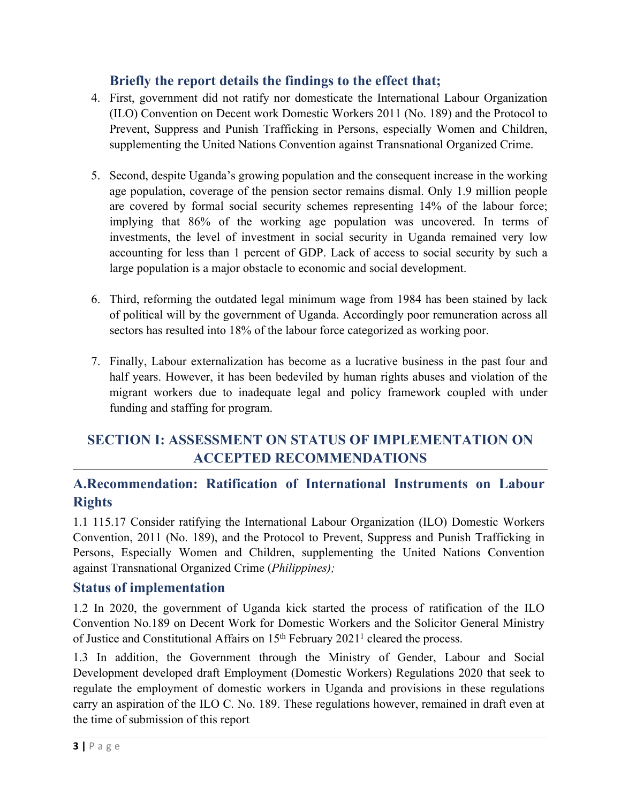## **Briefly the report details the findings to the effect that;**

- 4. First, governmen<sup>t</sup> did not ratify nor domesticate the International Labour Organization (ILO) Convention on Decent work Domestic Workers 2011 (No. 189) and the Protocol to Prevent, Suppress and Punish Trafficking in Persons, especially Women and Children, supplementing the United Nations Convention against Transnational Organized Crime.
- 5. Second, despite Uganda'<sup>s</sup> growing population and the consequen<sup>t</sup> increase in the working age population, coverage of the pension sector remains dismal. Only 1.9 million people are covered by formal social security schemes representing 14% of the labour force; implying that 86% of the working age population was uncovered. In terms of investments, the level of investment in social security in Uganda remained very low accounting for less than 1 percen<sup>t</sup> of GDP. Lack of access to social security by such <sup>a</sup> large population is <sup>a</sup> major obstacle to economic and social development.
- 6. Third, reforming the outdated legal minimum wage from 1984 has been stained by lack of political will by the governmen<sup>t</sup> of Uganda. Accordingly poor remuneration across all sectors has resulted into 18% of the labour force categorized as working poor.
- 7. Finally, Labour externalization has become as <sup>a</sup> lucrative business in the pas<sup>t</sup> four and half years. However, it has been bedeviled by human rights abuses and violation of the migrant workers due to inadequate legal and policy framework coupled with under funding and staffing for program.

## **SECTION I: ASSESSMENT ON STATUS OF IMPLEMENTATION ON ACCEPTED RECOMMENDATIONS**

## **A.Recommendation: Ratification of International Instruments on Labour Rights**

1.1 115.17 Consider ratifying the International Labour Organization (ILO) Domestic Workers Convention, 2011 (No. 189), and the Protocol to Prevent, Suppress and Punish Trafficking in Persons, Especially Women and Children, supplementing the United Nations Convention against Transnational Organized Crime (*Philippines);*

## **Status of implementation**

1.2 In 2020, the governmen<sup>t</sup> of Uganda kick started the process of ratification of the ILO Convention No.189 on Decent Work for Domestic Workers and the Solicitor General Ministry of Justice and Constitutional Affairs on 15<sup>th</sup> February 2021<sup>1</sup> cleared the process.

1.3 In addition, the Government through the Ministry of Gender, Labour and Social Development developed draft Employment (Domestic Workers) Regulations 2020 that seek to regulate the employment of domestic workers in Uganda and provisions in these regulations carry an aspiration of the ILO C. No. 189. These regulations however, remained in draft even at the time of submission of this repor<sup>t</sup>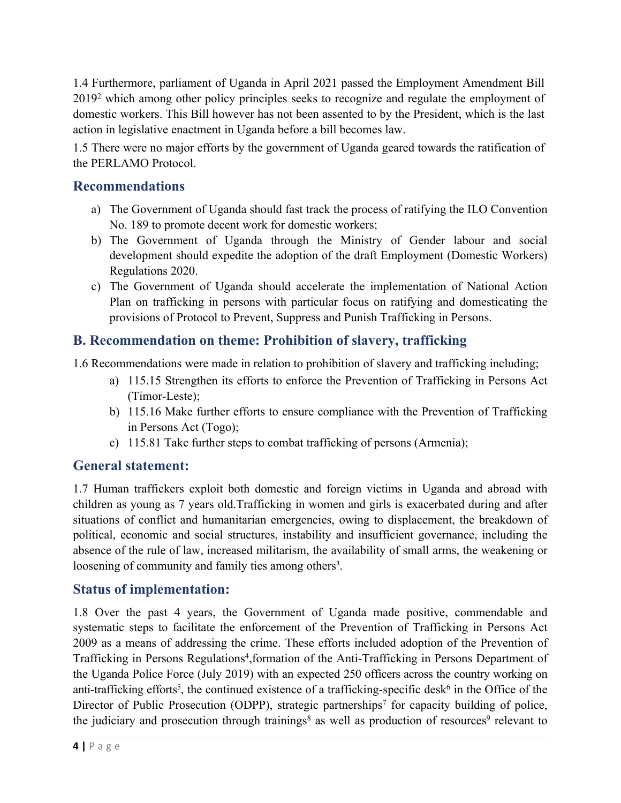1.4 Furthermore, parliament of Uganda in April 2021 passed the Employment Amendment Bill 2019<sup>2</sup> which among other policy principles seeks to recognize and regulate the employment of domestic workers. This Bill however has not been assented to by the President, which is the last action in legislative enactment in Uganda before <sup>a</sup> bill becomes law.

1.5 There were no major efforts by the governmen<sup>t</sup> of Uganda geared towards the ratification of the PERLAMO Protocol.

### **Recommendations**

- a) The Government of Uganda should fast track the process of ratifying the ILO Convention No. 189 to promote decent work for domestic workers;
- b) The Government of Uganda through the Ministry of Gender labour and social development should expedite the adoption of the draft Employment (Domestic Workers) Regulations 2020.
- c) The Government of Uganda should accelerate the implementation of National Action Plan on trafficking in persons with particular focus on ratifying and domesticating the provisions of Protocol to Prevent, Suppress and Punish Trafficking in Persons.

## **B. Recommendation on theme: Prohibition of slavery, trafficking**

1.6 Recommendations were made in relation to prohibition of slavery and trafficking including;

- a) 115.15 Strengthen its efforts to enforce the Prevention of Trafficking in Persons Act (Timor-Leste);
- b) 115.16 Make further efforts to ensure compliance with the Prevention of Trafficking in Persons Act (Togo);
- c) 115.81 Take further steps to combat trafficking of persons (Armenia);

#### **General statement:**

1.7 Human traffickers exploit both domestic and foreign victims in Uganda and abroad with children as young as 7 years old.Trafficking in women and girls is exacerbated during and after situations of conflict and humanitarian emergencies, owing to displacement, the breakdown of political, economic and social structures, instability and insufficient governance, including the absence of the rule of law, increased militarism, the availability of small arms, the weakening or loosening of community and family ties among others<sup>3</sup>.

#### **Status of implementation:**

1.8 Over the pas<sup>t</sup> 4 years, the Government of Uganda made positive, commendable and systematic steps to facilitate the enforcement of the Prevention of Trafficking in Persons Act 2009 as <sup>a</sup> means of addressing the crime. These efforts included adoption of the Prevention of Trafficking in Persons Regulations<sup>4</sup>,formation of the Anti-Trafficking in Persons Department of the Uganda Police Force (July 2019) with an expected 250 officers across the country working on anti-trafficking efforts<sup>5</sup>, the continued existence of a trafficking-specific desk<sup>6</sup> in the Office of the Director of Public Prosecution (ODPP), strategic partnerships<sup>7</sup> for capacity building of police, the judiciary and prosecution through trainings<sup>8</sup> as well as production of resources<sup>9</sup> relevant to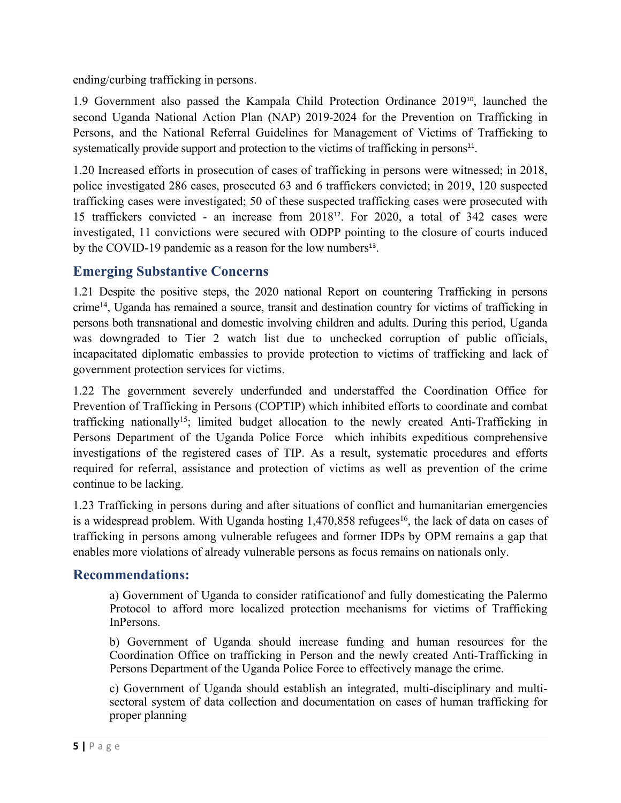ending/curbing trafficking in persons.

1.9 Government also passed the Kampala Child Protection Ordinance 2019<sup>10</sup> , launched the second Uganda National Action Plan (NAP) 2019-2024 for the Prevention on Trafficking in Persons, and the National Referral Guidelines for Management of Victims of Trafficking to systematically provide support and protection to the victims of trafficking in persons<sup>11</sup>.

1.20 Increased efforts in prosecution of cases of trafficking in persons were witnessed; in 2018, police investigated 286 cases, prosecuted 63 and 6 traffickers convicted; in 2019, 120 suspected trafficking cases were investigated; 50 of these suspected trafficking cases were prosecuted with 15 traffickers convicted - an increase from  $2018^{12}$ . For  $2020$ , a total of 342 cases were investigated, 11 convictions were secured with ODPP pointing to the closure of courts induced by the COVID-19 pandemic as a reason for the low numbers<sup>13</sup>.

## **Emerging Substantive Concerns**

1.21 Despite the positive steps, the 2020 national Report on countering Trafficking in persons crime<sup>14</sup> , Uganda has remained <sup>a</sup> source, transit and destination country for victims of trafficking in persons both transnational and domestic involving children and adults. During this period, Uganda was downgraded to Tier 2 watch list due to unchecked corruption of public officials, incapacitated diplomatic embassies to provide protection to victims of trafficking and lack of governmen<sup>t</sup> protection services for victims.

1.22 The governmen<sup>t</sup> severely underfunded and understaffed the Coordination Office for Prevention of Trafficking in Persons (COPTIP) which inhibited efforts to coordinate and combat trafficking nationally<sup>15</sup>; limited budget allocation to the newly created Anti-Trafficking in Persons Department of the Uganda Police Force which inhibits expeditious comprehensive investigations of the registered cases of TIP. As <sup>a</sup> result, systematic procedures and efforts required for referral, assistance and protection of victims as well as prevention of the crime continue to be lacking.

1.23 Trafficking in persons during and after situations of conflict and humanitarian emergencies is a widespread problem. With Uganda hosting 1,470,858 refugees<sup>16</sup>, the lack of data on cases of trafficking in persons among vulnerable refugees and former IDPs by OPM remains <sup>a</sup> gap that enables more violations of already vulnerable persons as focus remains on nationals only.

## **Recommendations:**

a) Government of Uganda to consider ratificationof and fully domesticating the Palermo Protocol to afford more localized protection mechanisms for victims of Trafficking InPersons.

b) Government of Uganda should increase funding and human resources for the Coordination Office on trafficking in Person and the newly created Anti-Trafficking in Persons Department of the Uganda Police Force to effectively manage the crime.

c) Government of Uganda should establish an integrated, multi-disciplinary and multisectoral system of data collection and documentation on cases of human trafficking for proper planning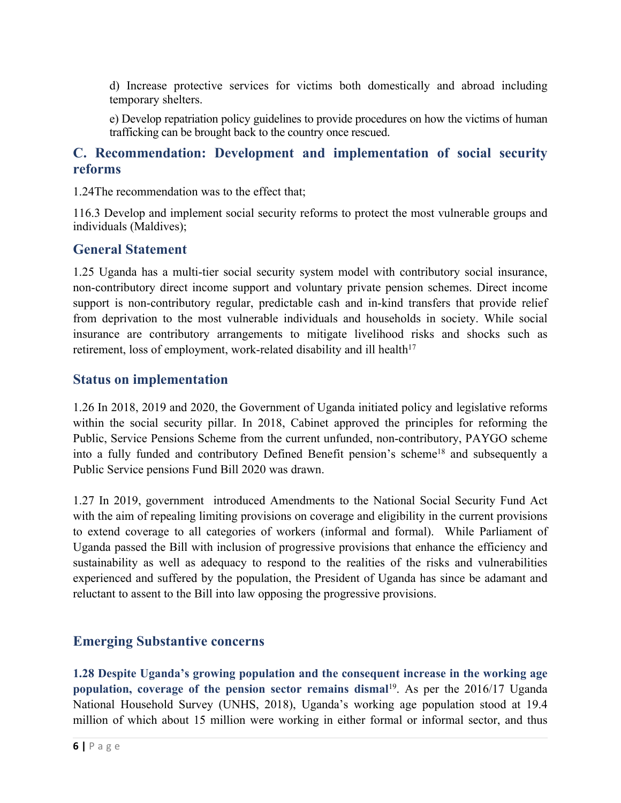d) Increase protective services for victims both domestically and abroad including temporary shelters.

e) Develop repatriation policy guidelines to provide procedures on how the victims of human trafficking can be brought back to the country once rescued.

### **C. Recommendation: Development and implementation of social security reforms**

1.24The recommendation was to the effect that;

116.3 Develop and implement social security reforms to protect the most vulnerable groups and individuals (Maldives);

#### **General Statement**

1.25 Uganda has <sup>a</sup> multi-tier social security system model with contributory social insurance, non-contributory direct income suppor<sup>t</sup> and voluntary private pension schemes. Direct income suppor<sup>t</sup> is non-contributory regular, predictable cash and in-kind transfers that provide relief from deprivation to the most vulnerable individuals and households in society. While social insurance are contributory arrangements to mitigate livelihood risks and shocks such as retirement, loss of employment, work-related disability and ill health $17$ 

#### **Status on implementation**

1.26 In 2018, 2019 and 2020, the Government of Uganda initiated policy and legislative reforms within the social security pillar. In 2018, Cabinet approved the principles for reforming the Public, Service Pensions Scheme from the current unfunded, non-contributory, PAYGO scheme into a fully funded and contributory Defined Benefit pension's scheme<sup>18</sup> and subsequently a Public Service pensions Fund Bill 2020 was drawn.

1.27 In 2019, governmen<sup>t</sup> introduced Amendments to the National Social Security Fund Act with the aim of repealing limiting provisions on coverage and eligibility in the current provisions to extend coverage to all categories of workers (informal and formal). While Parliament of Uganda passed the Bill with inclusion of progressive provisions that enhance the efficiency and sustainability as well as adequacy to respond to the realities of the risks and vulnerabilities experienced and suffered by the population, the President of Uganda has since be adamant and reluctant to assent to the Bill into law opposing the progressive provisions.

#### **Emerging Substantive concerns**

**1.28 Despite Uganda'<sup>s</sup> growing population and the consequen<sup>t</sup> increase in the working age population, coverage of the pension sector remains dismal** 19 . As per the 2016/17 Uganda National Household Survey (UNHS, 2018), Uganda'<sup>s</sup> working age population stood at 19.4 million of which about 15 million were working in either formal or informal sector, and thus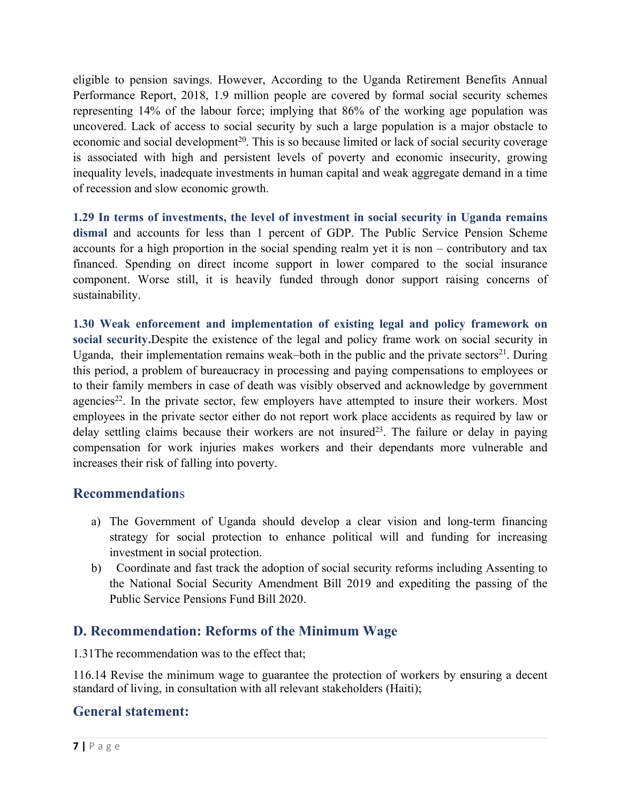eligible to pension savings. However, According to the Uganda Retirement Benefits Annual Performance Report, 2018, 1.9 million people are covered by formal social security schemes representing 14% of the labour force; implying that 86% of the working age population was uncovered. Lack of access to social security by such <sup>a</sup> large population is <sup>a</sup> major obstacle to economic and social development<sup>20</sup>. This is so because limited or lack of social security coverage is associated with high and persistent levels of poverty and economic insecurity, growing inequality levels, inadequate investments in human capital and weak aggregate demand in <sup>a</sup> time of recession and slow economic growth.

**1.29 In terms of investments, the level of investment in social security in Uganda remains dismal** and accounts for less than 1 percen<sup>t</sup> of GDP. The Public Service Pension Scheme accounts for <sup>a</sup> high proportion in the social spending realm ye<sup>t</sup> it is non – contributory and tax financed. Spending on direct income suppor<sup>t</sup> in lower compared to the social insurance component. Worse still, it is heavily funded through donor suppor<sup>t</sup> raising concerns of sustainability.

**1.30 Weak enforcement and implementation of existing legal and policy framework on social security.**Despite the existence of the legal and policy frame work on social security in Uganda, their implementation remains weak–both in the public and the private sectors<sup>21</sup>. During this period, <sup>a</sup> problem of bureaucracy in processing and paying compensations to employees or to their family members in case of death was visibly observed and acknowledge by governmen<sup>t</sup> agencies<sup>22</sup>. In the private sector, few employers have attempted to insure their workers. Most employees in the private sector either do not repor<sup>t</sup> work place accidents as required by law or delay settling claims because their workers are not insured<sup>23</sup>. The failure or delay in paying compensation for work injuries makes workers and their dependants more vulnerable and increases their risk of falling into poverty.

#### **Recommendation**<sup>s</sup>

- a) The Government of Uganda should develop <sup>a</sup> clear vision and long-term financing strategy for social protection to enhance political will and funding for increasing investment in social protection.
- b) Coordinate and fast track the adoption of social security reforms including Assenting to the National Social Security Amendment Bill 2019 and expediting the passing of the Public Service Pensions Fund Bill 2020.

## **D. Recommendation: Reforms of the Minimum Wage**

1.31The recommendation was to the effect that;

116.14 Revise the minimum wage to guarantee the protection of workers by ensuring <sup>a</sup> decent standard of living, in consultation with all relevant stakeholders (Haiti);

## **General statement:**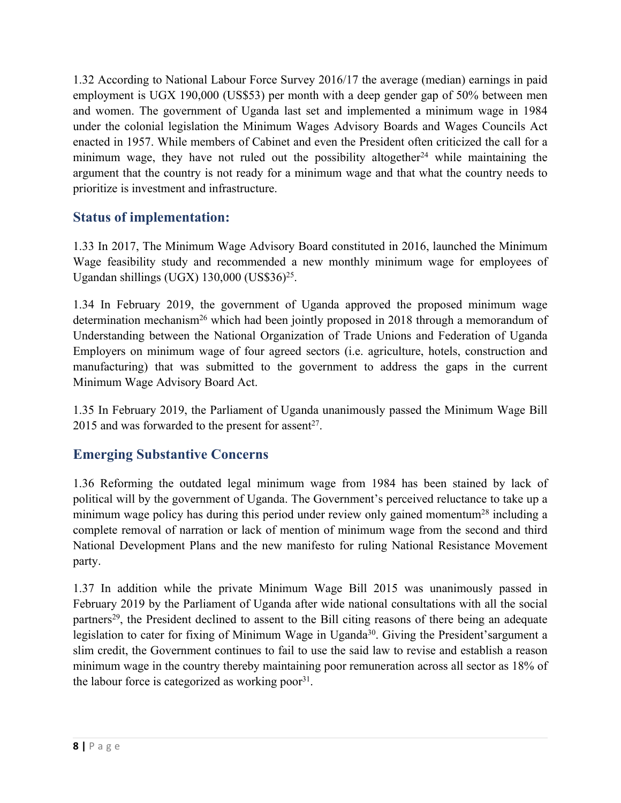1.32 According to National Labour Force Survey 2016/17 the average (median) earnings in paid employment is UGX 190,000 (US\$53) per month with <sup>a</sup> deep gender gap of 50% between men and women. The governmen<sup>t</sup> of Uganda last set and implemented <sup>a</sup> minimum wage in 1984 under the colonial legislation the Minimum Wages Advisory Boards and Wages Councils Act enacted in 1957. While members of Cabinet and even the President often criticized the call for <sup>a</sup> minimum wage, they have not ruled out the possibility altogether <sup>24</sup> while maintaining the argumen<sup>t</sup> that the country is not ready for <sup>a</sup> minimum wage and that what the country needs to prioritize is investment and infrastructure.

## **Status of implementation:**

1.33 In 2017, The Minimum Wage Advisory Board constituted in 2016, launched the Minimum Wage feasibility study and recommended <sup>a</sup> new monthly minimum wage for employees of Ugandan shillings (UGX) 130,000 (US\$36)<sup>25</sup>.

1.34 In February 2019, the governmen<sup>t</sup> of Uganda approved the proposed minimum wage determination mechanism<sup>26</sup> which had been jointly proposed in 2018 through a memorandum of Understanding between the National Organization of Trade Unions and Federation of Uganda Employers on minimum wage of four agreed sectors (i.e. agriculture, hotels, construction and manufacturing) that was submitted to the governmen<sup>t</sup> to address the gaps in the current Minimum Wage Advisory Board Act.

1.35 In February 2019, the Parliament of Uganda unanimously passed the Minimum Wage Bill 2015 and was forwarded to the present for assent<sup>27</sup>.

## **Emerging Substantive Concerns**

1.36 Reforming the outdated legal minimum wage from 1984 has been stained by lack of political will by the governmen<sup>t</sup> of Uganda. The Government'<sup>s</sup> perceived reluctance to take up <sup>a</sup> minimum wage policy has during this period under review only gained momentum<sup>28</sup> including a complete removal of narration or lack of mention of minimum wage from the second and third National Development Plans and the new manifesto for ruling National Resistance Movement party.

1.37 In addition while the private Minimum Wage Bill 2015 was unanimously passed in February 2019 by the Parliament of Uganda after wide national consultations with all the social partners<sup>29</sup>, the President declined to assent to the Bill citing reasons of there being an adequate legislation to cater for fixing of Minimum Wage in Uganda<sup>30</sup>. Giving the President'sargument a slim credit, the Government continues to fail to use the said law to revise and establish <sup>a</sup> reason minimum wage in the country thereby maintaining poor remuneration across all sector as 18% of the labour force is categorized as working poor<sup>31</sup>.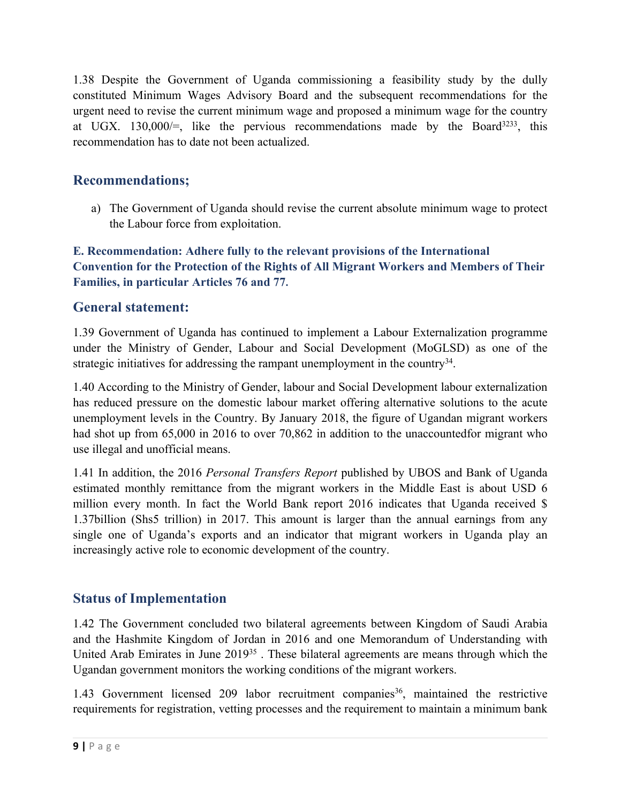1.38 Despite the Government of Uganda commissioning <sup>a</sup> feasibility study by the dully constituted Minimum Wages Advisory Board and the subsequent recommendations for the urgen<sup>t</sup> need to revise the current minimum wage and proposed <sup>a</sup> minimum wage for the country at UGX. 130,000/=, like the pervious recommendations made by the Board<sup>3233</sup>, this recommendation has to date not been actualized.

## **Recommendations;**

a) The Government of Uganda should revise the current absolute minimum wage to protect the Labour force from exploitation.

**E. Recommendation: Adhere fully to the relevant provisions of the International Convention for the Protection of the Rights of All Migrant Workers and Members of Their Families, in particular Articles 76 and 77.**

## **General statement:**

1.39 Government of Uganda has continued to implement <sup>a</sup> Labour Externalization programme under the Ministry of Gender, Labour and Social Development (MoGLSD) as one of the strategic initiatives for addressing the rampant unemployment in the country $^{34}$ .

1.40 According to the Ministry of Gender, labour and Social Development labour externalization has reduced pressure on the domestic labour market offering alternative solutions to the acute unemployment levels in the Country. By January 2018, the figure of Ugandan migrant workers had shot up from 65,000 in 2016 to over 70,862 in addition to the unaccountedfor migrant who use illegal and unofficial means.

1.41 In addition, the 2016 *Personal Transfers Report* published by UBOS and Bank of Uganda estimated monthly remittance from the migrant workers in the Middle East is about USD 6 million every month. In fact the World Bank repor<sup>t</sup> 2016 indicates that Uganda received \$ 1.37billion (Shs5 trillion) in 2017. This amount is larger than the annual earnings from any single one of Uganda'<sup>s</sup> exports and an indicator that migrant workers in Uganda play an increasingly active role to economic development of the country.

## **Status of Implementation**

1.42 The Government concluded two bilateral agreements between Kingdom of Saudi Arabia and the Hashmite Kingdom of Jordan in 2016 and one Memorandum of Understanding with United Arab Emirates in June 2019<sup>35</sup>. These bilateral agreements are means through which the Ugandan governmen<sup>t</sup> monitors the working conditions of the migrant workers.

1.43 Government licensed 209 labor recruitment companies 36 , maintained the restrictive requirements for registration, vetting processes and the requirement to maintain <sup>a</sup> minimum bank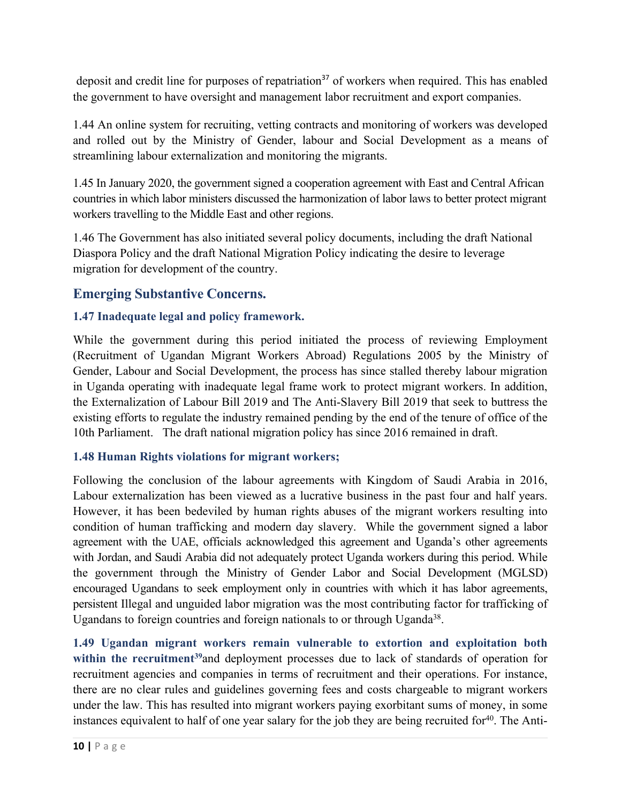deposit and credit line for purposes of repatriation<sup>37</sup> of workers when required. This has enabled the governmen<sup>t</sup> to have oversight and managemen<sup>t</sup> labor recruitment and expor<sup>t</sup> companies.

1.44 An online system for recruiting, vetting contracts and monitoring of workers was developed and rolled out by the Ministry of Gender, labour and Social Development as <sup>a</sup> means of streamlining labour externalization and monitoring the migrants.

1.45 In January 2020, the government signed <sup>a</sup> cooperation agreement with East and Central African countries in which labor ministers discussed the harmonization of labor laws to better protect migrant workers travelling to the Middle East and other regions.

1.46 The Government has also initiated several policy documents, including the draft National Diaspora Policy and the draft National Migration Policy indicating the desire to leverage migration for development of the country.

## **Emerging Substantive Concerns.**

#### **1.47 Inadequate legal and policy framework.**

While the governmen<sup>t</sup> during this period initiated the process of reviewing Employment (Recruitment of Ugandan Migrant Workers Abroad) Regulations 2005 by the Ministry of Gender, Labour and Social Development, the process has since stalled thereby labour migration in Uganda operating with inadequate legal frame work to protect migrant workers. In addition, the Externalization of Labour Bill 2019 and The Anti-Slavery Bill 2019 that seek to buttress the existing efforts to regulate the industry remained pending by the end of the tenure of office of the 10th Parliament. The draft national migration policy has since 2016 remained in draft.

#### **1.48 Human Rights violations for migrant workers;**

Following the conclusion of the labour agreements with Kingdom of Saudi Arabia in 2016, Labour externalization has been viewed as <sup>a</sup> lucrative business in the pas<sup>t</sup> four and half years. However, it has been bedeviled by human rights abuses of the migrant workers resulting into condition of human trafficking and modern day slavery. While the government signed <sup>a</sup> labor agreement with the UAE, officials acknowledged this agreement and Uganda'<sup>s</sup> other agreements with Jordan, and Saudi Arabia did not adequately protect Uganda workers during this period. While the governmen<sup>t</sup> through the Ministry of Gender Labor and Social Development (MGLSD) encouraged Ugandans to seek employment only in countries with which it has labor agreements, persistent Illegal and unguided labor migration was the most contributing factor for trafficking of Ugandans to foreign countries and foreign nationals to or through Uganda<sup>38</sup>.

**1.49 Ugandan migrant workers remain vulnerable to extortion and exploitation both within the recruitment 39** and deployment processes due to lack of standards of operation for recruitment agencies and companies in terms of recruitment and their operations. For instance, there are no clear rules and guidelines governing fees and costs chargeable to migrant workers under the law. This has resulted into migrant workers paying exorbitant sums of money, in some instances equivalent to half of one year salary for the job they are being recruited for 40 . The Anti-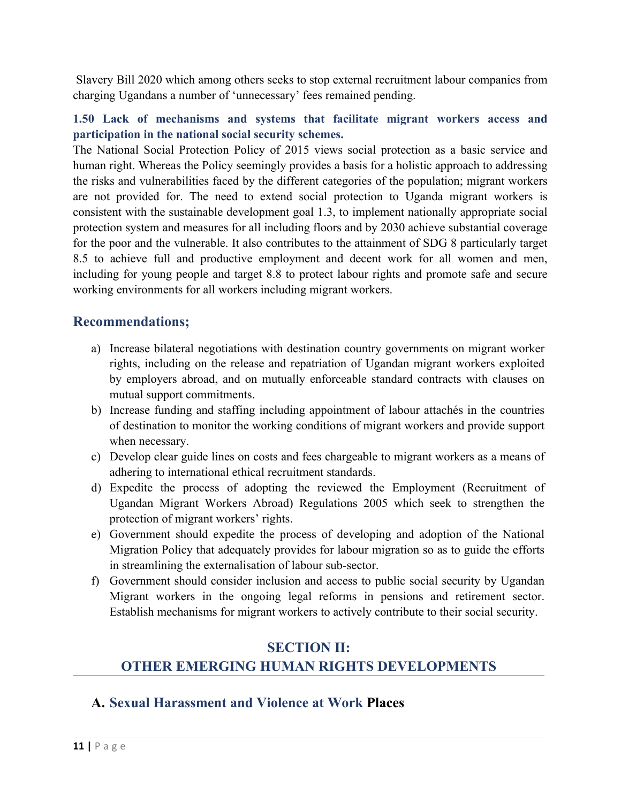Slavery Bill 2020 which among others seeks to stop external recruitment labour companies from charging Ugandans <sup>a</sup> number of 'unnecessary' fees remained pending.

#### **1.50 Lack of mechanisms and systems that facilitate migrant workers access and participation in the national social security schemes.**

The National Social Protection Policy of 2015 views social protection as <sup>a</sup> basic service and human right. Whereas the Policy seemingly provides <sup>a</sup> basis for <sup>a</sup> holistic approach to addressing the risks and vulnerabilities faced by the different categories of the population; migrant workers are not provided for. The need to extend social protection to Uganda migrant workers is consistent with the sustainable development goal 1.3, to implement nationally appropriate social protection system and measures for all including floors and by 2030 achieve substantial coverage for the poor and the vulnerable. It also contributes to the attainment of SDG 8 particularly target 8.5 to achieve full and productive employment and decent work for all women and men, including for young people and target 8.8 to protect labour rights and promote safe and secure working environments for all workers including migrant workers.

### **Recommendations;**

- a) Increase bilateral negotiations with destination country governments on migrant worker rights, including on the release and repatriation of Ugandan migrant workers exploited by employers abroad, and on mutually enforceable standard contracts with clauses on mutual suppor<sup>t</sup> commitments.
- b) Increase funding and staffing including appointment of labour attachés in the countries of destination to monitor the working conditions of migrant workers and provide suppor<sup>t</sup> when necessary.
- c) Develop clear guide lines on costs and fees chargeable to migrant workers as <sup>a</sup> means of adhering to international ethical recruitment standards.
- d) Expedite the process of adopting the reviewed the Employment (Recruitment of Ugandan Migrant Workers Abroad) Regulations 2005 which seek to strengthen the protection of migrant workers' rights.
- e) Government should expedite the process of developing and adoption of the National Migration Policy that adequately provides for labour migration so as to guide the efforts in streamlining the externalisation of labour sub-sector.
- f) Government should consider inclusion and access to public social security by Ugandan Migrant workers in the ongoing legal reforms in pensions and retirement sector. Establish mechanisms for migrant workers to actively contribute to their social security.

# **SECTION II: OTHER EMERGING HUMAN RIGHTS DEVELOPMENTS**

## **A. Sexual Harassment and Violence at Work Places**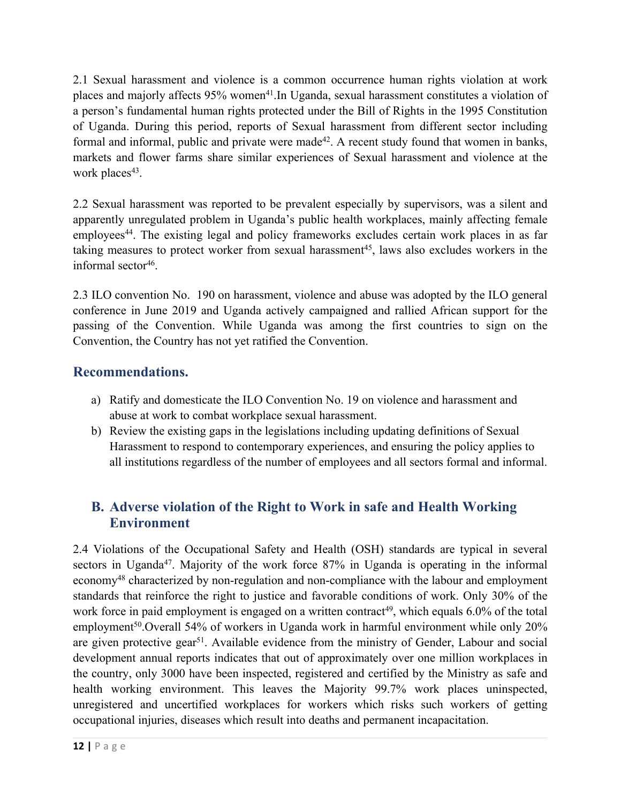2.1 Sexual harassment and violence is <sup>a</sup> common occurrence human rights violation at work places and majorly affects 95% women<sup>41</sup>.In Uganda, sexual harassment constitutes a violation of <sup>a</sup> person'<sup>s</sup> fundamental human rights protected under the Bill of Rights in the 1995 Constitution of Uganda. During this period, reports of Sexual harassment from different sector including formal and informal, public and private were made<sup>42</sup>. A recent study found that women in banks, markets and flower farms share similar experiences of Sexual harassment and violence at the work places 43 .

2.2 Sexual harassment was reported to be prevalent especially by supervisors, was <sup>a</sup> silent and apparently unregulated problem in Uganda'<sup>s</sup> public health workplaces, mainly affecting female employees 44 . The existing legal and policy frameworks excludes certain work places in as far taking measures to protect worker from sexual harassment 45 , laws also excludes workers in the informal sector 46 .

2.3 ILO convention No. 190 on harassment, violence and abuse was adopted by the ILO general conference in June 2019 and Uganda actively campaigned and rallied African suppor<sup>t</sup> for the passing of the Convention. While Uganda was among the first countries to sign on the Convention, the Country has not ye<sup>t</sup> ratified the Convention.

## **Recommendations.**

- a) Ratify and domesticate the ILO Convention No. 19 on violence and harassment and abuse at work to combat workplace sexual harassment.
- b) Review the existing gaps in the legislations including updating definitions of Sexual Harassment to respond to contemporary experiences, and ensuring the policy applies to all institutions regardless of the number of employees and all sectors formal and informal.

## **B. Adverse violation of the Right to Work in safe and Health Working Environment**

2.4 Violations of the Occupational Safety and Health (OSH) standards are typical in several sectors in Uganda<sup>47</sup>. Majority of the work force 87% in Uganda is operating in the informal economy<sup>48</sup> characterized by non-regulation and non-compliance with the labour and employment standards that reinforce the right to justice and favorable conditions of work. Only 30% of the work force in paid employment is engaged on a written contract<sup>49</sup>, which equals 6.0% of the total employment<sup>50</sup>.Overall 54% of workers in Uganda work in harmful environment while only 20% are given protective gear<sup>51</sup>. Available evidence from the ministry of Gender, Labour and social development annual reports indicates that out of approximately over one million workplaces in the country, only 3000 have been inspected, registered and certified by the Ministry as safe and health working environment. This leaves the Majority 99.7% work places uninspected, unregistered and uncertified workplaces for workers which risks such workers of getting occupational injuries, diseases which result into deaths and permanen<sup>t</sup> incapacitation.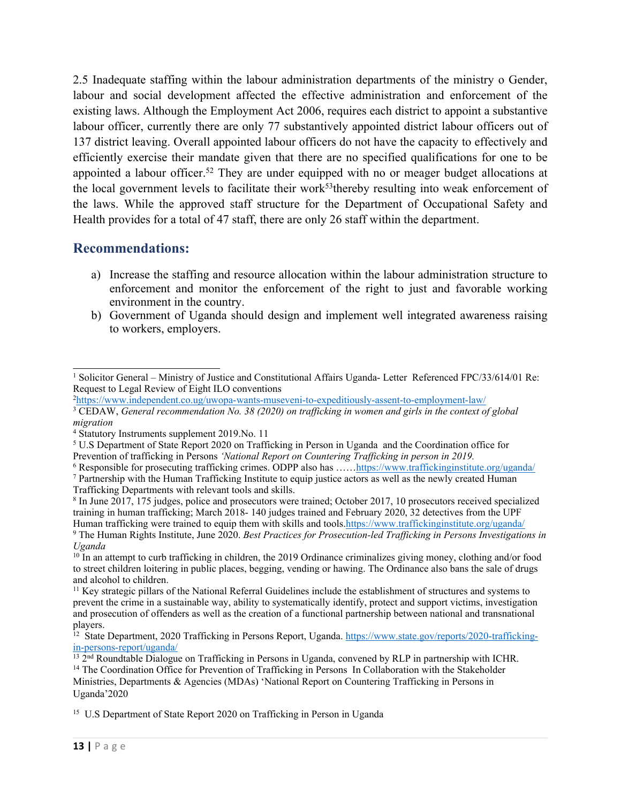2.5 Inadequate staffing within the labour administration departments of the ministry <sup>o</sup> Gender, labour and social development affected the effective administration and enforcement of the existing laws. Although the Employment Act 2006, requires each district to appoint <sup>a</sup> substantive labour officer, currently there are only 77 substantively appointed district labour officers out of 137 district leaving. Overall appointed labour officers do not have the capacity to effectively and efficiently exercise their mandate given that there are no specified qualifications for one to be appointed a labour officer.<sup>52</sup> They are under equipped with no or meager budget allocations at the local government levels to facilitate their work<sup>53</sup>thereby resulting into weak enforcement of the laws. While the approved staff structure for the Department of Occupational Safety and Health provides for <sup>a</sup> total of 47 staff, there are only 26 staff within the department.

### **Recommendations:**

- a) Increase the staffing and resource allocation within the labour administration structure to enforcement and monitor the enforcement of the right to just and favorable working environment in the country.
- b) Government of Uganda should design and implement well integrated awareness raising to workers, employers.

<sup>&</sup>lt;sup>1</sup> Solicitor General – Ministry of Justice and Constitutional Affairs Uganda- Letter Referenced FPC/33/614/01 Re: Request to Legal Review of Eight ILO conventions

<sup>2</sup> <https://www.independent.co.ug/uwopa-wants-museveni-to-expeditiously-assent-to-employment-law/>

<sup>&</sup>lt;sup>3</sup>CEDAW, General recommendation No. 38 (2020) on trafficking in women and girls in the context of global *migration*

<sup>4</sup> Statutory Instruments supplement 2019.No. 11

<sup>5</sup> U.S Department of State Report 2020 on Trafficking in Person in Uganda and the Coordination office for Prevention of trafficking in Persons *'National Report on Countering Trafficking in person in 2019.*

<sup>6</sup> Responsible for prosecuting trafficking crimes. ODPP also has ……<https://www.traffickinginstitute.org/uganda/>

<sup>7</sup> Partnership with the Human Trafficking Institute to equip justice actors as well as the newly created Human Trafficking Departments with relevant tools and skills.

<sup>8</sup> In June 2017, 175 judges, police and prosecutors were trained; October 2017, 10 prosecutors received specialized training in human trafficking; March 2018- 140 judges trained and February 2020, 32 detectives from the UPF Human trafficking were trained to equip them with skills and tools.<https://www.traffickinginstitute.org/uganda/> 9 The Human Rights Institute, June 2020. *Best Practices for Prosecution-led Trafficking in Persons Investigations in Uganda*

<sup>&</sup>lt;sup>10</sup> In an attempt to curb trafficking in children, the 2019 Ordinance criminalizes giving money, clothing and/or food to street children loitering in public places, begging, vending or hawing. The Ordinance also bans the sale of drugs and alcohol to children.

<sup>&</sup>lt;sup>11</sup> Key strategic pillars of the National Referral Guidelines include the establishment of structures and systems to preven<sup>t</sup> the crime in <sup>a</sup> sustainable way, ability to systematically identify, protect and suppor<sup>t</sup> victims, investigation and prosecution of offenders as well as the creation of <sup>a</sup> functional partnership between national and transnational players.

<sup>&</sup>lt;sup>12</sup> State Department, 2020 Trafficking in Persons Report, Uganda. [https://www.state.gov/reports/2020-trafficking-](https://www.state.gov/reports/2020-trafficking-in-persons-report/uganda/)

[in-persons-report/uganda/](https://www.state.gov/reports/2020-trafficking-in-persons-report/uganda/)<br><sup>13</sup> 2<sup>nd</sup> Roundtable Dialogue on Trafficking in Persons in Uganda, convened by RLP in partnership with ICHR. <sup>14</sup> The Coordination Office for Prevention of Trafficking in Persons In Collaboration with the Stakeholder Ministries, Departments & Agencies (MDAs) 'National Report on Countering Trafficking in Persons in Uganda'2020

<sup>&</sup>lt;sup>15</sup> U.S Department of State Report 2020 on Trafficking in Person in Uganda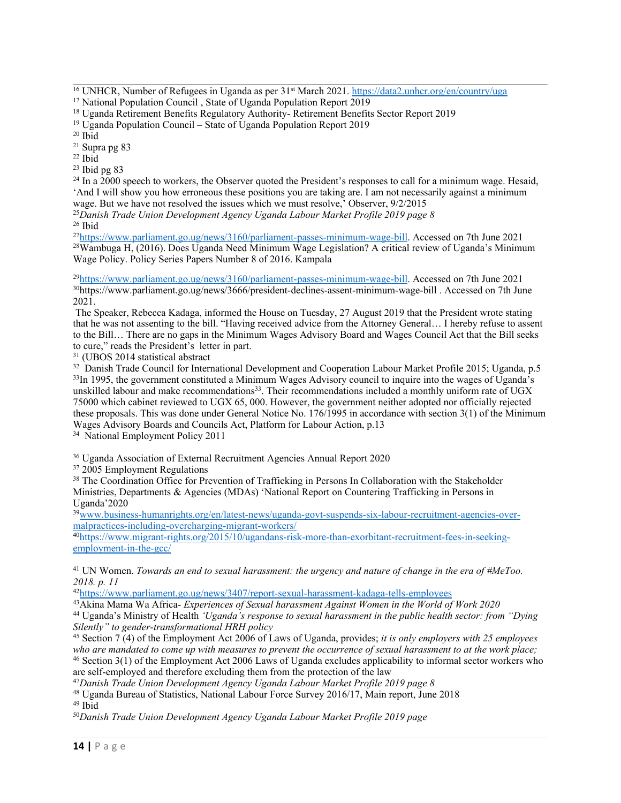<sup>16</sup> UNHCR, Number of Refugees in Uganda as per 31st March 2021. <https://data2.unhcr.org/en/country/uga>

<sup>17</sup> National Population Council, State of Uganda Population Report 2019

<sup>19</sup> Uganda Population Council – State of Uganda Population Report 2019

20 Ibid

21 Supra pg 83

22 Ibid

23 Ibid pg 83

<sup>24</sup> In a 2000 speech to workers, the Observer quoted the President's responses to call for a minimum wage. Hesaid, 'And I will show you how erroneous these positions you are taking are. I am not necessarily against <sup>a</sup> minimum wage. But we have not resolved the issues which we must resolve,' Observer, 9/2/2015

<sup>25</sup>*Danish Trade Union Development Agency Uganda Labour Market Profile 2019 page 8*

26 Ibid

27 <https://www.parliament.go.ug/news/3160/parliament-passes-minimum-wage-bill>. Accessed on 7th June 2021 <sup>28</sup>Wambuga H, (2016). Does Uganda Need Minimum Wage Legislation? <sup>A</sup> critical review of Uganda'<sup>s</sup> Minimum Wage Policy. Policy Series Papers Number 8 of 2016. Kampala

29 <https://www.parliament.go.ug/news/3160/parliament-passes-minimum-wage-bill>. Accessed on 7th June 2021 30 https://www.parliament.go.ug/news/3666/president-declines-assent-minimum-wage-bill . Accessed on 7th June 2021.

The Speaker, Rebecca Kadaga, informed the House on Tuesday, 27 August 2019 that the President wrote stating that he was not assenting to the bill. "Having received advice from the Attorney General… I hereby refuse to assent to the Bill… There are no gaps in the Minimum Wages Advisory Board and Wages Council Act that the Bill seeks to cure," reads the President'<sup>s</sup> letter in part.

31 (UBOS 2014 statistical abstract

<sup>32</sup> Danish Trade Council for International Development and Cooperation Labour Market Profile 2015; Uganda, p.5 <sup>33</sup>In 1995, the government constituted a Minimum Wages Advisory council to inquire into the wages of Uganda's unskilled labour and make recommendations<sup>33</sup>. Their recommendations included a monthly uniform rate of UGX 75000 which cabinet reviewed to UGX 65, 000. However, the governmen<sup>t</sup> neither adopted nor officially rejected these proposals. This was done under General Notice No. 176/1995 in accordance with section 3(1) of the Minimum Wages Advisory Boards and Councils Act, Platform for Labour Action, p.13

<sup>34</sup> National Employment Policy 2011

<sup>36</sup> Uganda Association of External Recruitment Agencies Annual Report 2020

37 2005 Employment Regulations

<sup>38</sup> The Coordination Office for Prevention of Trafficking in Persons In Collaboration with the Stakeholder Ministries, Departments & Agencies (MDAs) 'National Report on Countering Trafficking in Persons in Uganda'2020

39[www.business-humanrights.org/en/latest-news/uganda-govt-suspends-six-labour-recruitment-agencies-over](http://www.business-humanrights.org/en/latest-news/uganda-govt-suspends-six-labour-recruitment-agencies-over-malpractices-including-overcharging-migrant-workers/)[malpractices-including-overcharging-migrant-workers/](http://www.business-humanrights.org/en/latest-news/uganda-govt-suspends-six-labour-recruitment-agencies-over-malpractices-including-overcharging-migrant-workers/)

40 [https://www.migrant-rights.org/2015/10/ugandans-risk-more-than-exorbitant-recruitment-fees-in-seeking](https://www.migrant-rights.org/2015/10/ugandans-risk-more-than-exorbitant-recruitment-fees-in-seeking-employment-in-the-gcc/)emp[loyment-in-the-gcc/](https://www.migrant-rights.org/2015/10/ugandans-risk-more-than-exorbitant-recruitment-fees-in-seeking-employment-in-the-gcc/)

<sup>41</sup> UN Women. *Towards an end to sexual harassment: the urgency and nature of change in the era of #MeToo. 2018. p. 11*

42 <https://www.parliament.go.ug/news/3407/report-sexual-harassment-kadaga-tells-employees>

<sup>43</sup>Akina Mama Wa Africa- *Experiences of Sexual harassment Against Women in the World of Work 2020*

<sup>44</sup> Uganda's Ministry of Health *'Uganda's response to sexual harassment in the public health sector: from "Dying" Silently" to gender-transformational HRH policy*

45 Section 7 (4) of the Employment Act 2006 of Laws of Uganda, provides; *it is only employers with 25 employees* who are mandated to come up with measures to prevent the occurrence of sexual harassment to at the work place;

<sup>46</sup> Section 3(1) of the Employment Act 2006 Laws of Uganda excludes applicability to informal sector workers who are self-employed and therefore excluding them from the protection of the law

<sup>47</sup>*Danish Trade Union Development Agency Uganda Labour Market Profile 2019 page 8*

<sup>48</sup> Uganda Bureau of Statistics, National Labour Force Survey 2016/17, Main report, June 2018 <sup>49</sup> Ibid

<sup>50</sup>*Danish Trade Union Development Agency Uganda Labour Market Profile 2019 page*

<sup>18</sup> Uganda Retirement Benefits Regulatory Authority- Retirement Benefits Sector Report 2019